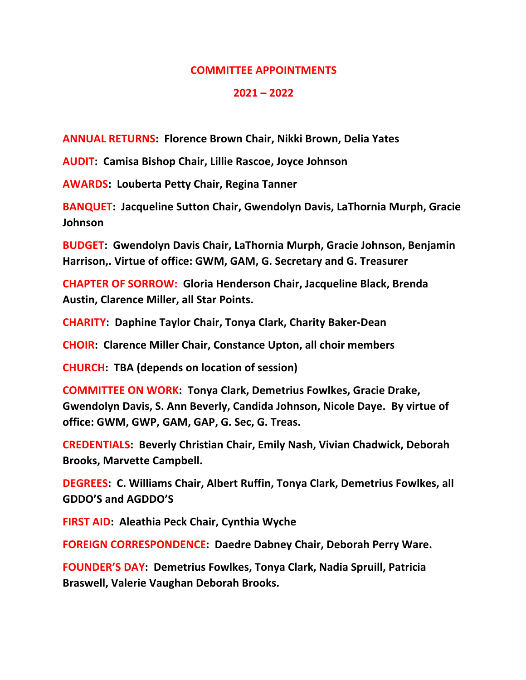## **COMMITTEE APPOINTMENTS**

## **2021 – 2022**

**ANNUAL RETURNS: Florence Brown Chair, Nikki Brown, Delia Yates**

**AUDIT: Camisa Bishop Chair, Lillie Rascoe, Joyce Johnson**

**AWARDS: Louberta Petty Chair, Regina Tanner**

**BANQUET: Jacqueline Sutton Chair, Gwendolyn Davis, LaThornia Murph, Gracie Johnson**

**BUDGET: Gwendolyn Davis Chair, LaThornia Murph, Gracie Johnson, Benjamin Harrison,. Virtue of office: GWM, GAM, G. Secretary and G. Treasurer**

**CHAPTER OF SORROW: Gloria Henderson Chair, Jacqueline Black, Brenda Austin, Clarence Miller, all Star Points.**

**CHARITY: Daphine Taylor Chair, Tonya Clark, Charity Baker-Dean**

**CHOIR: Clarence Miller Chair, Constance Upton, all choir members**

**CHURCH: TBA (depends on location of session)**

**COMMITTEE ON WORK: Tonya Clark, Demetrius Fowlkes, Gracie Drake, Gwendolyn Davis, S. Ann Beverly, Candida Johnson, Nicole Daye. By virtue of office: GWM, GWP, GAM, GAP, G. Sec, G. Treas.**

**CREDENTIALS: Beverly Christian Chair, Emily Nash, Vivian Chadwick, Deborah Brooks, Marvette Campbell.**

**DEGREES: C. Williams Chair, Albert Ruffin, Tonya Clark, Demetrius Fowlkes, all GDDO'S and AGDDO'S**

**FIRST AID: Aleathia Peck Chair, Cynthia Wyche**

**FOREIGN CORRESPONDENCE: Daedre Dabney Chair, Deborah Perry Ware.**

**FOUNDER'S DAY: Demetrius Fowlkes, Tonya Clark, Nadia Spruill, Patricia Braswell, Valerie Vaughan Deborah Brooks.**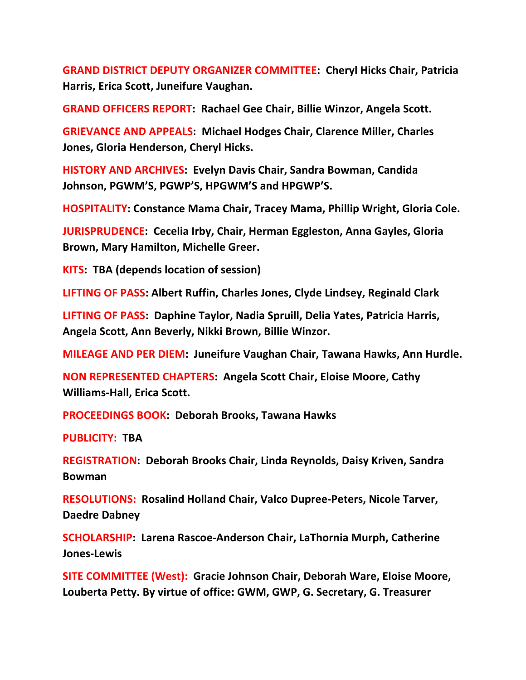**GRAND DISTRICT DEPUTY ORGANIZER COMMITTEE: Cheryl Hicks Chair, Patricia Harris, Erica Scott, Juneifure Vaughan.**

**GRAND OFFICERS REPORT: Rachael Gee Chair, Billie Winzor, Angela Scott.**

**GRIEVANCE AND APPEALS: Michael Hodges Chair, Clarence Miller, Charles Jones, Gloria Henderson, Cheryl Hicks.**

**HISTORY AND ARCHIVES: Evelyn Davis Chair, Sandra Bowman, Candida Johnson, PGWM'S, PGWP'S, HPGWM'S and HPGWP'S.**

**HOSPITALITY: Constance Mama Chair, Tracey Mama, Phillip Wright, Gloria Cole.**

**JURISPRUDENCE: Cecelia Irby, Chair, Herman Eggleston, Anna Gayles, Gloria Brown, Mary Hamilton, Michelle Greer.**

**KITS: TBA (depends location of session)**

**LIFTING OF PASS: Albert Ruffin, Charles Jones, Clyde Lindsey, Reginald Clark**

**LIFTING OF PASS: Daphine Taylor, Nadia Spruill, Delia Yates, Patricia Harris, Angela Scott, Ann Beverly, Nikki Brown, Billie Winzor.**

**MILEAGE AND PER DIEM: Juneifure Vaughan Chair, Tawana Hawks, Ann Hurdle.**

**NON REPRESENTED CHAPTERS: Angela Scott Chair, Eloise Moore, Cathy Williams-Hall, Erica Scott.**

**PROCEEDINGS BOOK: Deborah Brooks, Tawana Hawks**

**PUBLICITY: TBA**

**REGISTRATION: Deborah Brooks Chair, Linda Reynolds, Daisy Kriven, Sandra Bowman**

**RESOLUTIONS: Rosalind Holland Chair, Valco Dupree-Peters, Nicole Tarver, Daedre Dabney**

**SCHOLARSHIP: Larena Rascoe-Anderson Chair, LaThornia Murph, Catherine Jones-Lewis**

**SITE COMMITTEE (West): Gracie Johnson Chair, Deborah Ware, Eloise Moore, Louberta Petty. By virtue of office: GWM, GWP, G. Secretary, G. Treasurer**